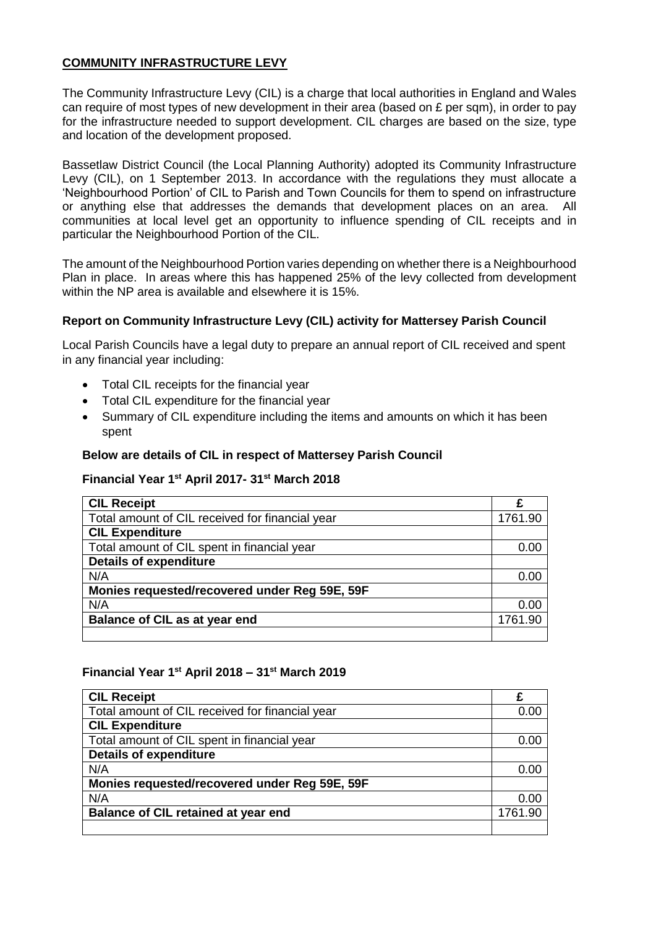### **COMMUNITY INFRASTRUCTURE LEVY**

The Community Infrastructure Levy (CIL) is a charge that local authorities in England and Wales can require of most types of new development in their area (based on  $E$  per sqm), in order to pay for the infrastructure needed to support development. CIL charges are based on the size, type and location of the development proposed.

Bassetlaw District Council (the Local Planning Authority) adopted its Community Infrastructure Levy (CIL), on 1 September 2013. In accordance with the regulations they must allocate a 'Neighbourhood Portion' of CIL to Parish and Town Councils for them to spend on infrastructure or anything else that addresses the demands that development places on an area. All communities at local level get an opportunity to influence spending of CIL receipts and in particular the Neighbourhood Portion of the CIL.

The amount of the Neighbourhood Portion varies depending on whether there is a Neighbourhood Plan in place. In areas where this has happened 25% of the levy collected from development within the NP area is available and elsewhere it is 15%.

### **Report on Community Infrastructure Levy (CIL) activity for Mattersey Parish Council**

Local Parish Councils have a legal duty to prepare an annual report of CIL received and spent in any financial year including:

- Total CIL receipts for the financial year
- Total CIL expenditure for the financial year
- Summary of CIL expenditure including the items and amounts on which it has been spent

#### **Below are details of CIL in respect of Mattersey Parish Council**

#### **Financial Year 1 st April 2017- 31st March 2018**

| <b>CIL Receipt</b>                              |         |
|-------------------------------------------------|---------|
| Total amount of CIL received for financial year | 1761.90 |
| <b>CIL Expenditure</b>                          |         |
| Total amount of CIL spent in financial year     | 0.00    |
| <b>Details of expenditure</b>                   |         |
| N/A                                             | 0.00    |
| Monies requested/recovered under Reg 59E, 59F   |         |
| N/A                                             | 0.00    |
| <b>Balance of CIL as at year end</b>            | 1761.90 |
|                                                 |         |

#### **Financial Year 1st April 2018 – 31st March 2019**

| <b>CIL Receipt</b>                              | £       |
|-------------------------------------------------|---------|
| Total amount of CIL received for financial year | 0.00    |
| <b>CIL Expenditure</b>                          |         |
| Total amount of CIL spent in financial year     | 0.00    |
| <b>Details of expenditure</b>                   |         |
| N/A                                             | 0.00    |
| Monies requested/recovered under Reg 59E, 59F   |         |
| N/A                                             | 0.00    |
| <b>Balance of CIL retained at year end</b>      | 1761.90 |
|                                                 |         |